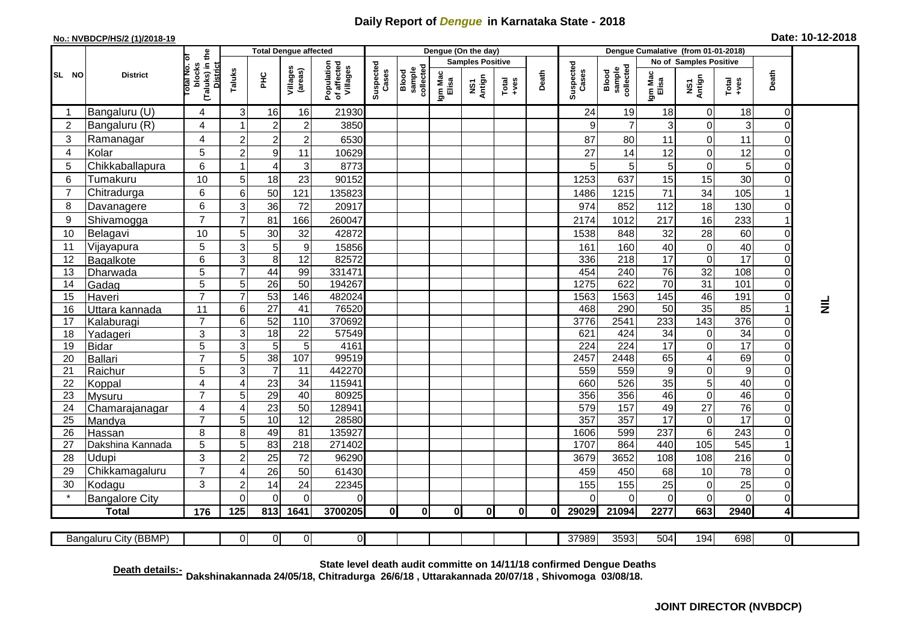## **Daily Report of** *Dengue* **in Karnataka State - 2018**

## **No.: NVBDCP/HS/2 (1)/2018-19 Date: 10-12-2018**

|                | <b>District</b>          |                                                      | <b>Total Dengue affected</b> |                       |                     |                                       |                    |                              |                         | Dengue (On the day) |                  |       |                    |                              |                  |                         |                                   |                            |           |
|----------------|--------------------------|------------------------------------------------------|------------------------------|-----------------------|---------------------|---------------------------------------|--------------------|------------------------------|-------------------------|---------------------|------------------|-------|--------------------|------------------------------|------------------|-------------------------|-----------------------------------|----------------------------|-----------|
|                |                          |                                                      |                              |                       |                     |                                       |                    |                              | <b>Samples Positive</b> |                     |                  |       |                    |                              |                  | No of Samples Positive  |                                   |                            |           |
| SL NO          |                          | (Taluks) in the<br>District<br>otal No. of<br>blocks | Taluks                       | PHC                   | Villages<br>(areas) | Population<br>of affected<br>Villages | Suspected<br>Cases | Blood<br>sample<br>collected | Igm Mac<br>Elisa        | NS1<br>Antign       | $Tota$<br>$+ves$ | Death | Suspected<br>Cases | Blood<br>sample<br>collected | Igm Mac<br>Elisa | NS1<br>Antign           | Total<br>$+ve$ s                  | Death                      |           |
|                | Bangaluru (U)            | $\overline{4}$                                       | 3                            | 16                    | 16                  | 21930                                 |                    |                              |                         |                     |                  |       | 24                 | 19                           | 18               | 0                       | 18                                | $\mathbf 0$                |           |
| $\overline{2}$ | Bangaluru (R)            | $\overline{4}$                                       |                              | $\boldsymbol{2}$      | $\mathbf 2$         | 3850                                  |                    |                              |                         |                     |                  |       | 9                  | $\overline{7}$               | 3                | 0                       | 3                                 | $\mathbf 0$                |           |
| 3              | Ramanagar                | 4                                                    | $\overline{2}$               | $\overline{2}$        | $\overline{c}$      | 6530                                  |                    |                              |                         |                     |                  |       | 87                 | 80                           | 11               | $\mathbf 0$             | 11                                | $\mathbf 0$                |           |
| 4              | Kolar                    | 5                                                    | $\overline{c}$               | $\boldsymbol{9}$      | 11                  | 10629                                 |                    |                              |                         |                     |                  |       | 27                 | 14                           | 12               | 0                       | 12                                | $\mathbf 0$                |           |
| 5              | Chikkaballapura          | 6                                                    |                              | 4                     | 3                   | 8773                                  |                    |                              |                         |                     |                  |       | 5                  | 5                            | 5                | 0                       | 5                                 | $\mathbf 0$                |           |
| 6              | Tumakuru                 | 10                                                   | 5                            | 18                    | 23                  | 90152                                 |                    |                              |                         |                     |                  |       | 1253               | 637                          | 15               | 15                      | 30                                | $\Omega$                   |           |
| 7              | Chitradurga              | 6                                                    | 6                            | 50                    | 121                 | 135823                                |                    |                              |                         |                     |                  |       | 1486               | 1215                         | 71               | 34                      | 105                               |                            |           |
| 8              | Davanagere               | 6                                                    | 3                            | 36                    | 72                  | 20917                                 |                    |                              |                         |                     |                  |       | 974                | 852                          | 112              | 18                      | 130                               | $\mathbf 0$                |           |
| 9              | Shivamogga               | $\overline{7}$                                       | $\overline{7}$               | 81                    | 166                 | 260047                                |                    |                              |                         |                     |                  |       | 2174               | 1012                         | 217              | 16                      | 233                               |                            |           |
| 10             | Belagavi                 | 10                                                   | 5                            | 30                    | 32                  | 42872                                 |                    |                              |                         |                     |                  |       | 1538               | 848                          | 32               | 28                      | 60                                | $\mathbf 0$                |           |
| 11             | Vijayapura               | 5                                                    | 3                            | 5                     | $\boldsymbol{9}$    | 15856                                 |                    |                              |                         |                     |                  |       | 161                | 160                          | 40               | 0                       | 40                                | $\overline{0}$             |           |
| 12             | Bagalkote                | 6                                                    | 3                            | 8                     | 12                  | 82572                                 |                    |                              |                         |                     |                  |       | 336                | 218                          | 17               | $\mathbf 0$             | 17                                | $\mathbf 0$                |           |
| 13             | Dharwada                 | 5                                                    | $\overline{7}$               | 44                    | 99                  | 331471                                |                    |                              |                         |                     |                  |       | 454                | 240                          | 76               | 32                      | 108                               | $\mathbf 0$                |           |
| 14             | Gadag                    | $\overline{5}$                                       | 5                            | $\overline{26}$       | $\overline{50}$     | 194267                                |                    |                              |                         |                     |                  |       | 1275               | 622                          | 70               | 31                      | 101                               | $\mathbf 0$                |           |
| 15             | Haveri                   | $\overline{7}$                                       | $\overline{7}$               | 53                    | 146                 | 482024                                |                    |                              |                         |                     |                  |       | 1563               | 1563                         | 145              | 46                      | 191                               | $\mathbf 0$                |           |
| 16             | Uttara kannada           | 11                                                   | 6                            | $\overline{27}$       | 41                  | 76520                                 |                    |                              |                         |                     |                  |       | 468                | 290                          | 50               | 35                      | 85                                |                            | $\vec{z}$ |
| 17             | Kalaburagi               | $\overline{7}$                                       | 6                            | 52                    | 110                 | 370692                                |                    |                              |                         |                     |                  |       | 3776               | 2541                         | 233              | 143                     | 376                               | $\mathbf 0$                |           |
| 18             | Yadageri                 | 3                                                    | 3                            | 18                    | 22                  | 57549                                 |                    |                              |                         |                     |                  |       | 621                | 424                          | 34               | 0                       | $\overline{34}$                   | $\mathbf 0$                |           |
| 19             | Bidar                    | $\overline{5}$                                       | 3                            | $\overline{5}$        | 5                   | 4161                                  |                    |                              |                         |                     |                  |       | $\overline{224}$   | 224                          | 17               | 0                       | 17                                | $\overline{0}$             |           |
| 20             | Ballari                  | $\overline{7}$                                       | 5                            | 38                    | 107                 | 99519                                 |                    |                              |                         |                     |                  |       | 2457               | 2448                         | 65               | $\overline{\mathbf{4}}$ | 69                                | $\mathbf 0$                |           |
| 21             | Raichur                  | 5                                                    | 3                            | $\overline{7}$        | $\overline{11}$     | 442270                                |                    |                              |                         |                     |                  |       | 559                | 559                          | $\boldsymbol{9}$ | 0                       | $\overline{9}$<br>$\overline{40}$ | $\mathbf 0$<br>$\mathbf 0$ |           |
| 22<br>23       | Koppal                   | $\overline{4}$<br>$\overline{7}$                     | $\overline{4}$<br>5          | $\overline{23}$<br>29 | 34<br>40            | 115941<br>80925                       |                    |                              |                         |                     |                  |       | 660<br>356         | 526<br>356                   | 35<br>46         | 5<br>0                  | 46                                | $\mathbf 0$                |           |
| 24             | Mysuru                   | $\overline{4}$                                       | $\overline{4}$               | 23                    | 50                  | 128941                                |                    |                              |                         |                     |                  |       | 579                | 157                          | 49               | $\overline{27}$         | $\overline{76}$                   | $\mathbf 0$                |           |
| 25             | Chamarajanagar<br>Mandya | $\overline{7}$                                       | 5                            | 10                    | 12                  | 28580                                 |                    |                              |                         |                     |                  |       | 357                | 357                          | 17               | $\pmb{0}$               | $\overline{17}$                   | $\mathbf 0$                |           |
| 26             | Hassan                   | 8                                                    | 8                            | 49                    | 81                  | 135927                                |                    |                              |                         |                     |                  |       | 1606               | 599                          | 237              | $\overline{6}$          | 243                               | $\mathbf 0$                |           |
| 27             | Dakshina Kannada         | 5                                                    | 5                            | 83                    | 218                 | 271402                                |                    |                              |                         |                     |                  |       | 1707               | 864                          | 440              | 105                     | 545                               |                            |           |
| 28             | <b>Udupi</b>             | 3                                                    | $\overline{2}$               | 25                    | 72                  | 96290                                 |                    |                              |                         |                     |                  |       | 3679               | 3652                         | 108              | 108                     | 216                               | $\mathbf 0$                |           |
| 29             | Chikkamagaluru           | $\overline{7}$                                       | 4                            | 26                    | 50                  | 61430                                 |                    |                              |                         |                     |                  |       | 459                | 450                          | 68               | 10                      | 78                                | $\mathbf 0$                |           |
| 30             | Kodagu                   | 3                                                    | $\overline{2}$               | 14                    | 24                  | 22345                                 |                    |                              |                         |                     |                  |       | 155                | 155                          | 25               | 0                       | 25                                | $\mathbf 0$                |           |
|                | <b>Bangalore City</b>    |                                                      | $\Omega$                     | $\Omega$              | $\Omega$            | 0                                     |                    |                              |                         |                     |                  |       | ∩                  | $\Omega$                     | $\Omega$         | $\overline{0}$          | $\mathbf 0$                       | $\mathbf 0$                |           |
|                | <b>Total</b>             | 176                                                  | 125                          | 813                   | 1641                | 3700205                               | 0I                 | 0                            | 0                       | 0l                  | 0l               | Οl    | 29029              | 21094                        | 2277             | 663                     | 2940                              | $\overline{\mathbf{4}}$    |           |
|                |                          |                                                      |                              |                       |                     |                                       |                    |                              |                         |                     |                  |       |                    |                              |                  |                         |                                   |                            |           |
|                | Bangaluru City (BBMP)    |                                                      | $\overline{0}$               | $\overline{0}$        | $\overline{0}$      | $\overline{0}$                        |                    |                              |                         |                     |                  |       | 37989              | 3593                         | 504              | 194                     | 698                               | $\overline{0}$             |           |

**Death details:- State level death audit committe on 14/11/18 confirmed Dengue Deaths Dakshinakannada 24/05/18, Chitradurga 26/6/18 , Uttarakannada 20/07/18 , Shivomoga 03/08/18.**